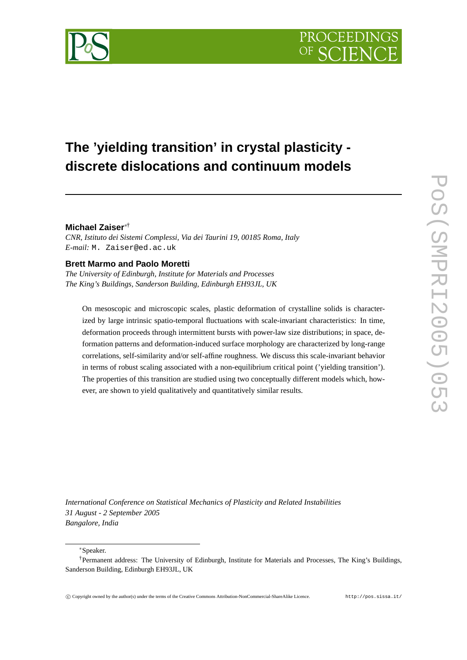

# **The 'yielding transition' in crystal plasticity discrete dislocations and continuum models**

## **Michael Zaiser**∗†

*CNR, Istituto dei Sistemi Complessi, Via dei Taurini 19, 00185 Roma, Italy E-mail:* M. Zaiser@ed.ac.uk

## **Brett Marmo and Paolo Moretti**

*The University of Edinburgh, Institute for Materials and Processes The King's Buildings, Sanderson Building, Edinburgh EH93JL, UK*

On mesoscopic and microscopic scales, plastic deformation of crystalline solids is characterized by large intrinsic spatio-temporal fluctuations with scale-invariant characteristics: In time, deformation proceeds through intermittent bursts with power-law size distributions; in space, deformation patterns and deformation-induced surface morphology are characterized by long-range correlations, self-similarity and/or self-affine roughness. We discuss this scale-invariant behavior in terms of robust scaling associated with a non-equilibrium critical point ('yielding transition'). The properties of this transition are studied using two conceptually different models which, however, are shown to yield qualitatively and quantitatively similar results.

*International Conference on Statistical Mechanics of Plasticity and Related Instabilities 31 August - 2 September 2005 Bangalore, India*

∗Speaker.

<sup>†</sup>Permanent address: The University of Edinburgh, Institute for Materials and Processes, The King's Buildings, Sanderson Building, Edinburgh EH93JL, UK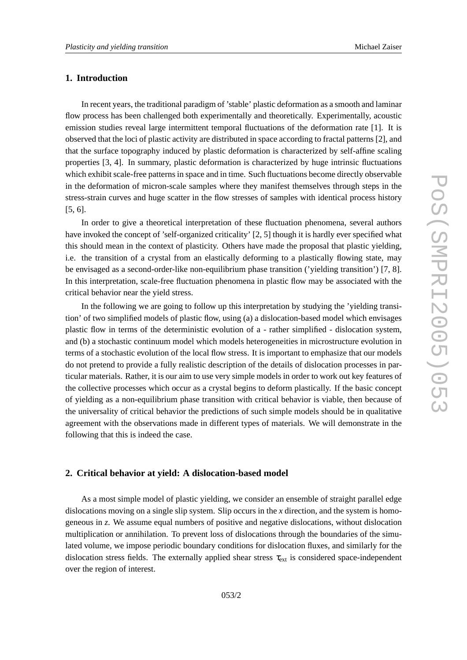## **1. Introduction**

In recent years, the traditional paradigm of 'stable' plastic deformation as a smooth and laminar flow process has been challenged both experimentally and theoretically. Experimentally, acoustic emission studies reveal large intermittent temporal fluctuations of the deformation rate [1]. It is observed that the loci of plastic activity are distributed in space according to fractal patterns [2], and that the surface topography induced by plastic deformation is characterized by self-affine scaling properties [3, 4]. In summary, plastic deformation is characterized by huge intrinsic fluctuations which exhibit scale-free patterns in space and in time. Such fluctuations become directly observable in the deformation of micron-scale samples where they manifest themselves through steps in the stress-strain curves and huge scatter in the flow stresses of samples with identical process history [5, 6].

In order to give a theoretical interpretation of these fluctuation phenomena, several authors have invoked the concept of 'self-organized criticality' [2, 5] though it is hardly ever specified what this should mean in the context of plasticity. Others have made the proposal that plastic yielding, i.e. the transition of a crystal from an elastically deforming to a plastically flowing state, may be envisaged as a second-order-like non-equilibrium phase transition ('yielding transition') [7, 8]. In this interpretation, scale-free fluctuation phenomena in plastic flow may be associated with the critical behavior near the yield stress.

In the following we are going to follow up this interpretation by studying the 'yielding transition' of two simplified models of plastic flow, using (a) a dislocation-based model which envisages plastic flow in terms of the deterministic evolution of a - rather simplified - dislocation system, and (b) a stochastic continuum model which models heterogeneities in microstructure evolution in terms of a stochastic evolution of the local flow stress. It is important to emphasize that our models do not pretend to provide a fully realistic description of the details of dislocation processes in particular materials. Rather, it is our aim to use very simple models in order to work out key features of the collective processes which occur as a crystal begins to deform plastically. If the basic concept of yielding as a non-equilibrium phase transition with critical behavior is viable, then because of the universality of critical behavior the predictions of such simple models should be in qualitative agreement with the observations made in different types of materials. We will demonstrate in the following that this is indeed the case.

### **2. Critical behavior at yield: A dislocation-based model**

As a most simple model of plastic yielding, we consider an ensemble of straight parallel edge dislocations moving on a single slip system. Slip occurs in the *x* direction, and the system is homogeneous in *z*. We assume equal numbers of positive and negative dislocations, without dislocation multiplication or annihilation. To prevent loss of dislocations through the boundaries of the simulated volume, we impose periodic boundary conditions for dislocation fluxes, and similarly for the dislocation stress fields. The externally applied shear stress  $\tau_{ext}$  is considered space-independent over the region of interest.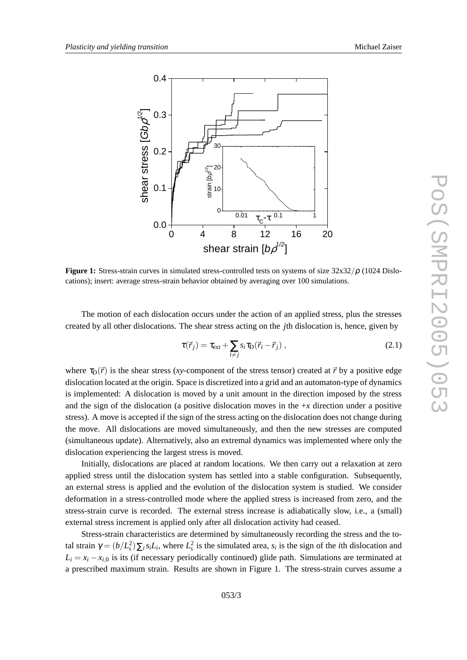

**Figure 1:** Stress-strain curves in simulated stress-controlled tests on systems of size 32x32/ρ (1024 Dislocations); insert: average stress-strain behavior obtained by averaging over 100 simulations.

The motion of each dislocation occurs under the action of an applied stress, plus the stresses created by all other dislocations. The shear stress acting on the *j*th dislocation is, hence, given by

$$
\tau(\vec{r}_j) = \tau_{\text{ext}} + \sum_{i \neq j} s_i \tau_{\text{D}} (\vec{r}_i - \vec{r}_j) , \qquad (2.1)
$$

where  $\tau_{D}(\vec{r})$  is the shear stress (*xy*-component of the stress tensor) created at  $\vec{r}$  by a positive edge dislocation located at the origin. Space is discretized into a grid and an automaton-type of dynamics is implemented: A dislocation is moved by a unit amount in the direction imposed by the stress and the sign of the dislocation (a positive dislocation moves in the + *x* direction under a positive stress). A move is accepted if the sign of the stress acting on the dislocation does not change during the move. All dislocations are moved simultaneously, and then the new stresses are computed (simultaneous update). Alternatively, also an extremal dynamics was implemented where only the dislocation experiencing the largest stress is moved.

Initially, dislocations are placed at random locations. We then carry out a relaxation at zero applied stress until the dislocation system has settled into a stable configuration. Subsequently, an external stress is applied and the evolution of the dislocation system is studied. We consider deformation in a stress-controlled mode where the applied stress is increased from zero, and the stress-strain curve is recorded. The external stress increase is adiabatically slow, i.e., a (small) external stress increment is applied only after all dislocation activity had ceased.

Stress-strain characteristics are determined by simultaneously recording the stress and the total strain  $\gamma = (b/L_s^2) \sum_i s_i L_i$ , where  $L_s^2$  is the simulated area,  $s_i$  is the sign of the *i*th dislocation and  $L_i = x_i - x_{i,0}$  is its (if necessary periodically continued) glide path. Simulations are terminated at a prescribed maximum strain. Results are shown in Figure 1. The stress-strain curves assume a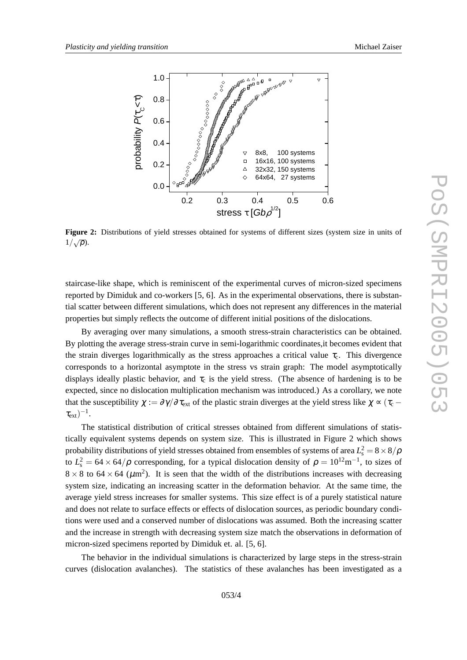

**Figure 2:** Distributions of yield stresses obtained for systems of different sizes (system size in units of  $1/\sqrt{\rho}$ ).

staircase-like shape, which is reminiscent of the experimental curves of micron-sized specimens reported by Dimiduk and co-workers [5, 6]. As in the experimental observations, there is substantial scatter between different simulations, which does not represent any differences in the material properties but simply reflects the outcome of different initial positions of the dislocations.

By averaging over many simulations, a smooth stress-strain characteristics can be obtained. By plotting the average stress-strain curve in semi-logarithmic coordinates,it becomes evident that the strain diverges logarithmically as the stress approaches a critical value  $\tau_c$ . This divergence corresponds to a horizontal asymptote in the stress vs strain graph: The model asymptotically displays ideally plastic behavior, and  $\tau_c$  is the yield stress. (The absence of hardening is to be expected, since no dislocation multiplication mechanism was introduced.) As a corollary, we note that the susceptibility  $\chi := \partial \gamma / \partial \tau_{ext}$  of the plastic strain diverges at the yield stress like  $\chi \propto (\tau_c \tau_{\rm ext})^{-1}.$ 

The statistical distribution of critical stresses obtained from different simulations of statistically equivalent systems depends on system size. This is illustrated in Figure 2 which shows probability distributions of yield stresses obtained from ensembles of systems of area  $L^2_\text{s} = 8 \times 8/\rho$ to  $L_s^2 = 64 \times 64/\rho$  corresponding, for a typical dislocation density of  $\rho = 10^{12} \text{m}^{-1}$ , to sizes of  $8 \times 8$  to  $64 \times 64$  ( $\mu$ m<sup>2</sup>). It is seen that the width of the distributions increases with decreasing system size, indicating an increasing scatter in the deformation behavior. At the same time, the average yield stress increases for smaller systems. This size effect is of a purely statistical nature and does not relate to surface effects or effects of dislocation sources, as periodic boundary conditions were used and a conserved number of dislocations was assumed. Both the increasing scatter and the increase in strength with decreasing system size match the observations in deformation of micron-sized specimens reported by Dimiduk et. al. [5, 6].

The behavior in the individual simulations is characterized by large steps in the stress-strain curves (dislocation avalanches). The statistics of these avalanches has been investigated as a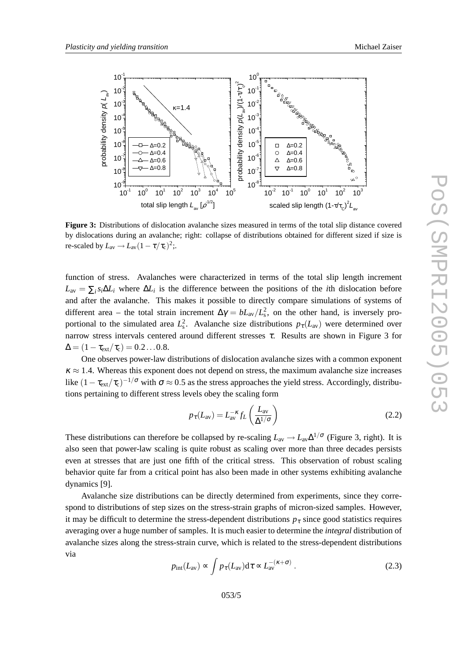

**Figure 3:** Distributions of dislocation avalanche sizes measured in terms of the total slip distance covered by dislocations during an avalanche; right: collapse of distributions obtained for different sized if size is re-scaled by  $L_{\text{av}} \rightarrow L_{\text{av}} (1 - \tau/\tau_{\text{c}})^2$ ;.

function of stress. Avalanches were characterized in terms of the total slip length increment  $L_{\text{av}} = \sum_i s_i \Delta L_i$  where  $\Delta L_i$  is the difference between the positions of the *i*th dislocation before and after the avalanche. This makes it possible to directly compare simulations of systems of different area – the total strain increment  $\Delta \gamma = b L_{av}/L_s^2$ , on the other hand, is inversely proportional to the simulated area  $L_s^2$ . Avalanche size distributions  $p_{\tau}(L_{av})$  were determined over narrow stress intervals centered around different stresses  $\tau$ . Results are shown in Figure 3 for  $\Delta = (1 - \tau_{\rm ext}/\tau_{\rm c}) = 0.2 \ldots 0.8.$ 

One observes power-law distributions of dislocation avalanche sizes with a common exponent  $\kappa \approx 1.4$ . Whereas this exponent does not depend on stress, the maximum avalanche size increases like  $(1 - \tau_{ext}/\tau_c)^{-1/\sigma}$  with  $\sigma \approx 0.5$  as the stress approaches the yield stress. Accordingly, distributions pertaining to different stress levels obey the scaling form

$$
p_{\tau}(L_{\rm av}) = L_{\rm av}^{-\kappa} f_L\left(\frac{L_{\rm av}}{\Delta^{1/\sigma}}\right) \tag{2.2}
$$

These distributions can therefore be collapsed by re-scaling  $L_{av} \to L_{av} \Delta^{1/\sigma}$  (Figure 3, right). It is also seen that power-law scaling is quite robust as scaling over more than three decades persists even at stresses that are just one fifth of the critical stress. This observation of robust scaling behavior quite far from a critical point has also been made in other systems exhibiting avalanche dynamics [9].

Avalanche size distributions can be directly determined from experiments, since they correspond to distributions of step sizes on the stress-strain graphs of micron-sized samples. However, it may be difficult to determine the stress-dependent distributions  $p<sub>\tau</sub>$  since good statistics requires averaging over a huge number of samples. It is much easier to determine the *integral* distribution of avalanche sizes along the stress-strain curve, which is related to the stress-dependent distributions via

$$
p_{\rm int}(L_{\rm av}) \propto \int p_{\tau}(L_{\rm av}) d\tau \propto L_{\rm av}^{-(\kappa + \sigma)}.
$$
 (2.3)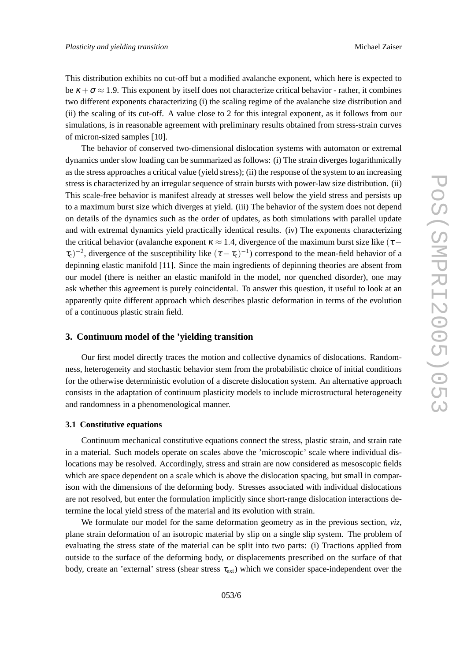This distribution exhibits no cut-off but a modified avalanche exponent, which here is expected to be  $\kappa + \sigma \approx 1.9$ . This exponent by itself does not characterize critical behavior - rather, it combines two different exponents characterizing (i) the scaling regime of the avalanche size distribution and (ii) the scaling of its cut-off. A value close to 2 for this integral exponent, as it follows from our simulations, is in reasonable agreement with preliminary results obtained from stress-strain curves of micron-sized samples [10].

The behavior of conserved two-dimensional dislocation systems with automaton or extremal dynamics under slow loading can be summarized as follows: (i) The strain diverges logarithmically as the stress approaches a critical value (yield stress); (ii) the response of the system to an increasing stress is characterized by an irregular sequence of strain bursts with power-law size distribution. (ii) This scale-free behavior is manifest already at stresses well below the yield stress and persists up to a maximum burst size which diverges at yield. (iii) The behavior of the system does not depend on details of the dynamics such as the order of updates, as both simulations with parallel update and with extremal dynamics yield practically identical results. (iv) The exponents characterizing the critical behavior (avalanche exponent  $\kappa \approx 1.4$ , divergence of the maximum burst size like ( $\tau$  –  $(\tau_c)^{-2}$ , divergence of the susceptibility like  $(\tau - \tau_c)^{-1}$ ) correspond to the mean-field behavior of a depinning elastic manifold [11]. Since the main ingredients of depinning theories are absent from our model (there is neither an elastic manifold in the model, nor quenched disorder), one may ask whether this agreement is purely coincidental. To answer this question, it useful to look at an apparently quite different approach which describes plastic deformation in terms of the evolution of a continuous plastic strain field.

#### **3. Continuum model of the 'yielding transition**

Our first model directly traces the motion and collective dynamics of dislocations. Randomness, heterogeneity and stochastic behavior stem from the probabilistic choice of initial conditions for the otherwise deterministic evolution of a discrete dislocation system. An alternative approach consists in the adaptation of continuum plasticity models to include microstructural heterogeneity and randomness in a phenomenological manner.

#### **3.1 Constitutive equations**

Continuum mechanical constitutive equations connect the stress, plastic strain, and strain rate in a material. Such models operate on scales above the 'microscopic' scale where individual dislocations may be resolved. Accordingly, stress and strain are now considered as mesoscopic fields which are space dependent on a scale which is above the dislocation spacing, but small in comparison with the dimensions of the deforming body. Stresses associated with individual dislocations are not resolved, but enter the formulation implicitly since short-range dislocation interactions determine the local yield stress of the material and its evolution with strain.

We formulate our model for the same deformation geometry as in the previous section, *viz* , plane strain deformation of an isotropic material by slip on a single slip system. The problem of evaluating the stress state of the material can be split into two parts: (i) Tractions applied from outside to the surface of the deforming body, or displacements prescribed on the surface of that body, create an 'external' stress (shear stress  $\tau_{ext}$ ) which we consider space-independent over the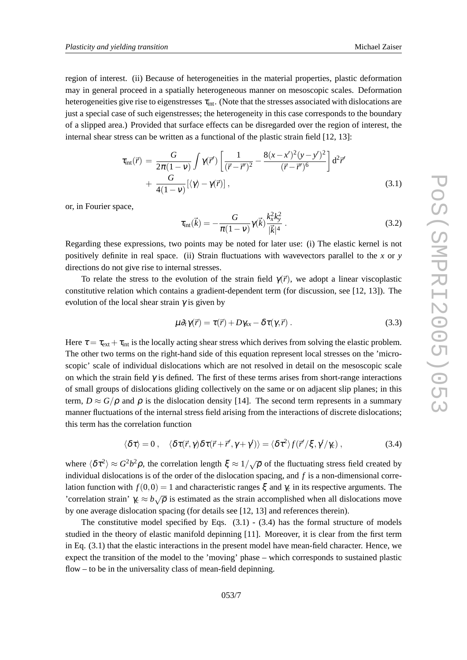region of interest. (ii) Because of heterogeneities in the material properties, plastic deformation may in general proceed in a spatially heterogeneous manner on mesoscopic scales. Deformation heterogeneities give rise to eigenstresses  $\tau_{\text{int}}$ . (Note that the stresses associated with dislocations are just a special case of such eigenstresses; the heterogeneity in this case corresponds to the boundary of a slipped area.) Provided that surface effects can be disregarded over the region of interest, the internal shear stress can be written as a functional of the plastic strain field [12, 13]:

$$
\tau_{\rm int}(\vec{r}) = \frac{G}{2\pi(1-\nu)} \int \gamma(\vec{r}') \left[ \frac{1}{(\vec{r}-\vec{r}')^2} - \frac{8(x-x')^2(y-y')^2}{(\vec{r}-\vec{r}')^6} \right] d^2 \vec{r}' + \frac{G}{4(1-\nu)} [\langle \gamma \rangle - \gamma(\vec{r})], \tag{3.1}
$$

or, in Fourier space,

$$
\tau_{\rm int}(\vec{k}) = -\frac{G}{\pi(1-\nu)}\gamma(\vec{k})\frac{k_x^2k_y^2}{|\vec{k}|^4}.
$$
\n(3.2)

Regarding these expressions, two points may be noted for later use: (i) The elastic kernel is not positively definite in real space. (ii) Strain fluctuations with wavevectors parallel to the *x* or *y* directions do not give rise to internal stresses.

To relate the stress to the evolution of the strain field  $\gamma(\vec{r})$ , we adopt a linear viscoplastic constitutive relation which contains a gradient-dependent term (for discussion, see [12, 13]). The evolution of the local shear strain  $\gamma$  is given by

$$
\mu \partial_t \gamma(\vec{r}) = \tau(\vec{r}) + D\gamma_{xx} - \delta \tau(\gamma, \vec{r}) \,. \tag{3.3}
$$

Here  $\tau = \tau_{ext} + \tau_{int}$  is the locally acting shear stress which derives from solving the elastic problem. The other two terms on the right-hand side of this equation represent local stresses on the 'microscopic' scale of individual dislocations which are not resolved in detail on the mesoscopic scale on which the strain field  $\gamma$  is defined. The first of these terms arises from short-range interactions of small groups of dislocations gliding collectively on the same or on adjacent slip planes; in this term,  $D \approx G/\rho$  and  $\rho$  is the dislocation density [14]. The second term represents in a summary manner fluctuations of the internal stress field arising from the interactions of discrete dislocations; this term has the correlation function

$$
\langle \delta \tau \rangle = 0 \,, \quad \langle \delta \tau(\vec{r}, \gamma) \delta \tau(\vec{r} + \vec{r}', \gamma + \gamma') \rangle = \langle \delta \tau^2 \rangle f(\vec{r}' / \xi, \gamma' / \gamma_c) \,, \tag{3.4}
$$

where  $\langle \delta \tau^2 \rangle \approx G^2 b^2 \rho$ , the correlation length  $\xi \approx 1/\sqrt{\rho}$  of the fluctuating stress field created by individual dislocations is of the order of the dislocation spacing, and *f* is a non-dimensional correlation function with  $f(0,0) = 1$  and characteristic ranges  $\xi$  and  $\gamma_c$  in its respective arguments. The 'correlation strain'  $\gamma_c \approx b\sqrt{\rho}$  is estimated as the strain accomplished when all dislocations move by one average dislocation spacing (for details see [12, 13] and references therein).

The constitutive model specified by Eqs.  $(3.1)$  -  $(3.4)$  has the formal structure of models studied in the theory of elastic manifold depinning [11]. Moreover, it is clear from the first term in Eq. (3.1) that the elastic interactions in the present model have mean-field character. Hence, we expect the transition of the model to the 'moving' phase – which corresponds to sustained plastic flow – to be in the universality class of mean-field depinning.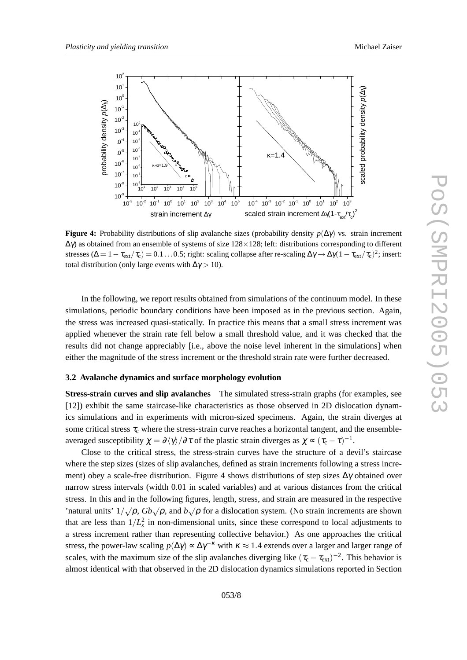

**Figure 4:** Probability distributions of slip avalanche sizes (probability density *p* ( ∆γ) vs. strain increment ∆γ) as obtained from an ensemble of systems of size 128 ×128; left: distributions corresponding to different stresses ( $\Delta = 1 - \tau_{ext}/\tau_c$ ) = 0.1...0.5; right: scaling collapse after re-scaling  $\Delta \gamma \rightarrow \Delta \gamma (1 - \tau_{ext}/\tau_c)^2$ ; insert: total distribution (only large events with  $\Delta \gamma > 10$ ).

In the following, we report results obtained from simulations of the continuum model. In these simulations, periodic boundary conditions have been imposed as in the previous section. Again, the stress was increased quasi-statically. In practice this means that a small stress increment was applied whenever the strain rate fell below a small threshold value, and it was checked that the results did not change appreciably [i.e., above the noise level inherent in the simulations] when either the magnitude of the stress increment or the threshold strain rate were further decreased.

#### **3.2 Avalanche dynamics and surface morphology evolution**

**Stress-strain curves and slip avalanches** The simulated stress-strain graphs (for examples, see [12]) exhibit the same staircase-like characteristics as those observed in 2D dislocation dynamics simulations and in experiments with micron-sized specimens. Again, the strain diverges at some critical stress  $\tau_c$  where the stress-strain curve reaches a horizontal tangent, and the ensembleaveraged susceptibility  $\chi = \partial \langle \gamma \rangle / \partial \tau$  of the plastic strain diverges as  $\chi \propto (\tau_c - \tau)^{-1}$ .

Close to the critical stress, the stress-strain curves have the structure of a devil's staircase where the step sizes (sizes of slip avalanches, defined as strain increments following a stress increment) obey a scale-free distribution. Figure 4 shows distributions of step sizes  $\Delta \gamma$  obtained over narrow stress intervals (width 0.01 in scaled variables) and at various distances from the critical stress. In this and in the following figures, length, stress, and strain are measured in the respective 'natural units'  $1/\sqrt{\rho}$ ,  $Gb\sqrt{\rho}$ , and  $b\sqrt{\rho}$  for a dislocation system. (No strain increments are shown that are less than  $1/L_s^2$  in non-dimensional units, since these correspond to local adjustments to a stress increment rather than representing collective behavior.) As one approaches the critical stress, the power-law scaling  $p(\Delta \gamma) \propto \Delta \gamma^{-\kappa}$  with  $\kappa \approx 1.4$  extends over a larger and larger range of scales, with the maximum size of the slip avalanches diverging like  $(\tau_c - \tau_{ext})^{-2}$ . This behavior is almost identical with that observed in the 2D dislocation dynamics simulations reported in Section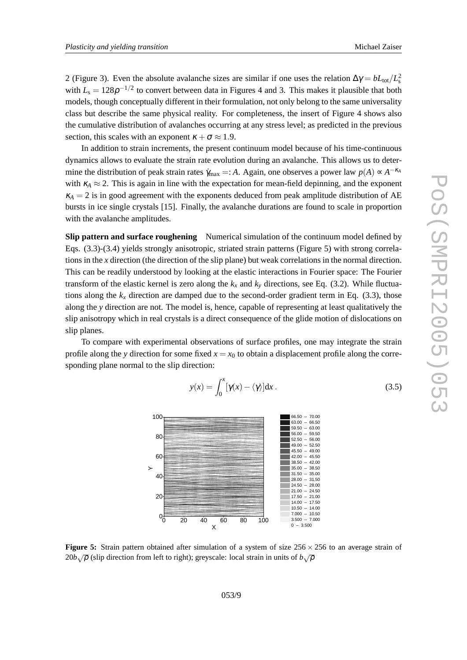2 (Figure 3). Even the absolute avalanche sizes are similar if one uses the relation  $\Delta \gamma = bL_{\text{tot}}/L_s^2$ with  $L_s = 128\rho^{-1/2}$  to convert between data in Figures 4 and 3. This makes it plausible that both models, though conceptually different in their formulation, not only belong to the same universality class but describe the same physical reality. For completeness, the insert of Figure 4 shows also the cumulative distribution of avalanches occurring at any stress level; as predicted in the previous section, this scales with an exponent  $\kappa + \sigma \approx 1.9$ .

In addition to strain increments, the present continuum model because of his time-continuous dynamics allows to evaluate the strain rate evolution during an avalanche. This allows us to determine the distribution of peak strain rates  $\gamma_{\text{max}} =: A$ . Again, one observes a power law  $p(A) \propto A^{-\kappa_A}$ with  $\kappa_A \approx 2$ . This is again in line with the expectation for mean-field depinning, and the exponent  $\kappa_A = 2$  is in good agreement with the exponents deduced from peak amplitude distribution of AE bursts in ice single crystals [15]. Finally, the avalanche durations are found to scale in proportion with the avalanche amplitudes.

**Slip pattern and surface roughening** Numerical simulation of the continuum model defined by Eqs. (3.3)-(3.4) yields strongly anisotropic, striated strain patterns (Figure 5) with strong correlations in the *x* direction (the direction of the slip plane) but weak correlations in the normal direction. This can be readily understood by looking at the elastic interactions in Fourier space: The Fourier transform of the elastic kernel is zero along the  $k_x$  and  $k_y$  directions, see Eq. (3.2). While fluctuations along the  $k_x$  direction are damped due to the second-order gradient term in Eq. (3.3), those along the *y* direction are not. The model is, hence, capable of representing at least qualitatively the slip anisotropy which in real crystals is a direct consequence of the glide motion of dislocations on slip planes.

To compare with experimental observations of surface profiles, one may integrate the strain profile along the y direction for some fixed  $x = x_0$  to obtain a displacement profile along the corresponding plane normal to the slip direction:

$$
y(x) = \int_0^x [\gamma(x) - \langle \gamma \rangle] dx.
$$
 (3.5)



**Figure 5:** Strain pattern obtained after simulation of a system of size  $256 \times 256$  to an average strain of  $20b\sqrt{\rho}$  (slip direction from left to right); greyscale: local strain in units of  $b\sqrt{\rho}$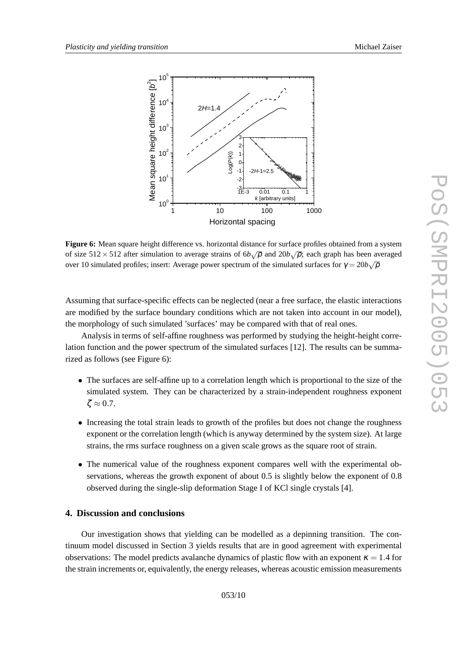

**Figure 6:** Mean square height difference vs. horizontal distance for surface profiles obtained from a system of size  $512 \times 512$  after simulation to average strains of  $6b\sqrt{\rho}$  and  $20b\sqrt{\rho}$ ; each graph has been averaged over 10 simulated profiles; insert: Average power spectrum of the simulated surfaces for  $\gamma = 20b\sqrt{\rho}$ 

Assuming that surface-specific effects can be neglected (near a free surface, the elastic interactions are modified by the surface boundary conditions which are not taken into account in our model), the morphology of such simulated 'surfaces' may be compared with that of real ones.

Analysis in terms of self-affine roughness was performed by studying the height-height correlation function and the power spectrum of the simulated surfaces [12]. The results can be summarized as follows (see Figure 6):

- The surfaces are self-affine up to a correlation length which is proportional to the size of the simulated system. They can be characterized by a strain-independent roughness exponent  $\zeta \approx 0.7$ .
- Increasing the total strain leads to growth of the profiles but does not change the roughness exponent or the correlation length (which is anyway determined by the system size). At large strains, the rms surface roughness on a given scale grows as the square root of strain.
- The numerical value of the roughness exponent compares well with the experimental observations, whereas the growth exponent of about 0.5 is slightly below the exponent of 0.8 observed during the single-slip deformation Stage I of KCl single crystals [4].

## **4. Discussion and conclusions**

Our investigation shows that yielding can be modelled as a depinning transition. The continuum model discussed in Section 3 yields results that are in good agreement with experimental observations: The model predicts avalanche dynamics of plastic flow with an exponent  $\kappa = 1.4$  for the strain increments or, equivalently, the energy releases, whereas acoustic emission measurements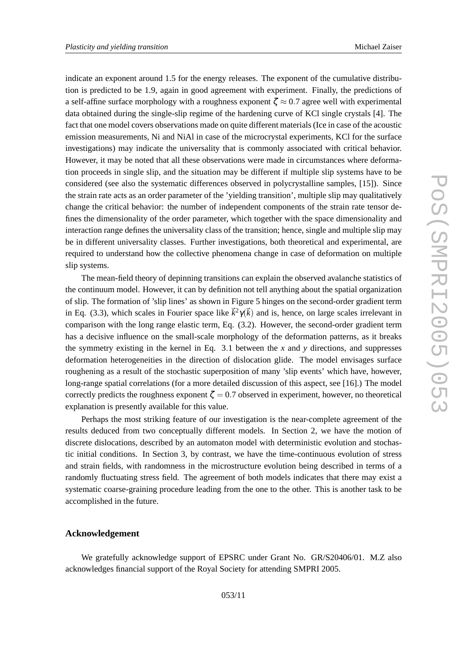indicate an exponent around 1.5 for the energy releases. The exponent of the cumulative distribution is predicted to be 1.9, again in good agreement with experiment. Finally, the predictions of a self-affine surface morphology with a roughness exponent  $\zeta \approx 0.7$  agree well with experimental data obtained during the single-slip regime of the hardening curve of KCl single crystals [4]. The fact that one model covers observations made on quite different materials (Ice in case of the acoustic emission measurements, Ni and NiAl in case of the microcrystal experiments, KCl for the surface investigations) may indicate the universality that is commonly associated with critical behavior. However, it may be noted that all these observations were made in circumstances where deformation proceeds in single slip, and the situation may be different if multiple slip systems have to be considered (see also the systematic differences observed in polycrystalline samples, [15]). Since the strain rate acts as an order parameter of the 'yielding transition', multiple slip may qualitatively change the critical behavior: the number of independent components of the strain rate tensor defines the dimensionality of the order parameter, which together with the space dimensionality and interaction range defines the universality class of the transition; hence, single and multiple slip may be in different universality classes. Further investigations, both theoretical and experimental, are required to understand how the collective phenomena change in case of deformation on multiple slip systems.

The mean-field theory of depinning transitions can explain the observed avalanche statistics of the continuum model. However, it can by definition not tell anything about the spatial organization of slip. The formation of 'slip lines' as shown in Figure 5 hinges on the second-order gradient term in Eq. (3.3), which scales in Fourier space like  $\vec{k}^2 \gamma(\vec{k})$  and is, hence, on large scales irrelevant in comparison with the long range elastic term, Eq. (3.2). However, the second-order gradient term has a decisive influence on the small-scale morphology of the deformation patterns, as it breaks the symmetry existing in the kernel in Eq. 3 .1 between the *x* and *y* directions, and suppresses deformation heterogeneities in the direction of dislocation glide. The model envisages surface roughening as a result of the stochastic superposition of many 'slip events' which have, however, long-range spatial correlations (for a more detailed discussion of this aspect, see [16].) The model correctly predicts the roughness exponent  $\zeta = 0.7$  observed in experiment, however, no theoretical explanation is presently available for this value.

Perhaps the most striking feature of our investigation is the near-complete agreement of the results deduced from two conceptually different models. In Section 2, we have the motion of discrete dislocations, described by an automaton model with deterministic evolution and stochastic initial conditions. In Section 3, by contrast, we have the time-continuous evolution of stress and strain fields, with randomness in the microstructure evolution being described in terms of a randomly fluctuating stress field. The agreement of both models indicates that there may exist a systematic coarse-graining procedure leading from the one to the other. This is another task to be accomplished in the future.

## **Acknowledgement**

We gratefully acknowledge support of EPSRC under Grant No. GR/S20406/01. M.Z also acknowledges financial support of the Royal Society for attending SMPRI 2005.